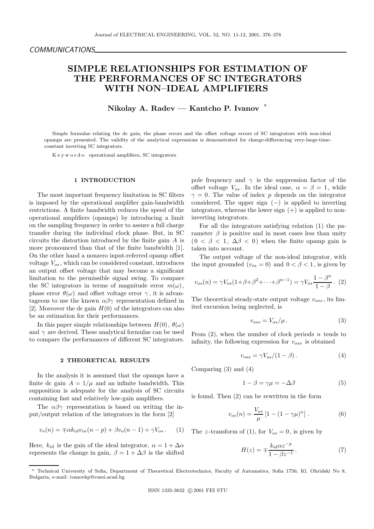# SIMPLE RELATIONSHIPS FOR ESTIMATION OF THE PERFORMANCES OF SC INTEGRATORS WITH NON–IDEAL AMPLIFIERS

Nikolay A. Radev — Kantcho P. Ivanov <sup>∗</sup>

Simple formulae relating the dc gain, the phase errors and the offset voltage errors of SC integrators with non-ideal opamps are presented. The validity of the analytical expressions is demonstrated for charge-differencing very-large-timeconstant inverting SC integrators.

K e y w o r d s: operational amplifiers, SC integrators

### 1 INTRODUCTION

The most important frequency limitation in SC filters is imposed by the operational amplifier gain-bandwidth restrictions. A finite bandwidth reduces the speed of the operational amplifiers (opamps) by introducing a limit on the sampling frequency in order to assure a full charge transfer during the individual clock phase. But, in SC circuits the distortion introduced by the finite gain A is more pronounced than that of the finite bandwidth [1]. On the other hand a nonzero input-referred opamp offset voltage  $V_{os}$ , which can be considered constant, introduces an output offset voltage that may become a significant limitation to the permissible signal swing. To compare the SC integrators in terms of magnitude error  $m(\omega)$ , phase error  $\theta(\omega)$  and offset voltage error  $\gamma$ , it is advantageous to use the known  $\alpha\beta\gamma$  representation defined in [2]. Moreover the dc gain  $H(0)$  of the integrators can also be an estimation for their performances.

In this paper simple relationships between  $H(0)$ ,  $\theta(\omega)$ and  $\gamma$  are derived. These analytical formulae can be used to compare the performances of different SC integrators.

# 2 THEORETICAL RESULTS

In the analysis it is assumed that the opamps have a finite dc gain  $A = 1/\mu$  and an infinite bandwidth. This supposition is adequate for the analysis of SC circuits containing fast and relatively low-gain amplifiers.

The  $\alpha\beta\gamma$  representation is based on writing the input/output relation of the integrators in the form [2]

$$
v_o(n) = \pm \alpha k_{id} v_{in}(n-p) + \beta v_o(n-1) + \gamma V_{os}.
$$
 (1)

Here,  $k_{id}$  is the gain of the ideal integrator,  $\alpha = 1 + \Delta \alpha$ represents the change in gain,  $\beta = 1 + \Delta \beta$  is the shifted pole frequency and  $\gamma$  is the suppression factor of the offset voltage  $V_{os}$ . In the ideal case,  $\alpha = \beta = 1$ , while  $\gamma = 0$ . The value of index p depends on the integrator considered. The upper sign  $(-)$  is applied to inverting integrators, whereas the lower sign  $(+)$  is applied to noninverting integrators.

For all the integrators satisfying relation (1) the parameter  $\beta$  is positive and in most cases less than unity  $(0 < \beta < 1, \Delta\beta < 0)$  when the finite opamp gain is taken into account.

The output voltage of the non-ideal integrator, with the input grounded  $(v_{in} = 0)$  and  $0 < \beta < 1$ , is given by

$$
v_{os}(n) = \gamma V_{os}(1+\beta+\beta^2+\cdots+\beta^{n-1}) = \gamma V_{os}\frac{1-\beta^n}{1-\beta}.
$$
 (2)

The theoretical steady-state output voltage  $v_{\text{oss}}$ , its limited excursion being neglected, is

$$
v_{oss} = V_{os}/\mu. \tag{3}
$$

From  $(2)$ , when the number of clock periods n tends to infinity, the following expression for  $v_{\text{oss}}$  is obtained

$$
v_{oss} = \gamma V_{os}/(1 - \beta). \tag{4}
$$

Comparing (3) and (4)

$$
1 - \beta = \gamma \mu = -\Delta \beta \tag{5}
$$

is found. Then (2) can be rewritten in the form

$$
v_{os}(n) = \frac{V_{os}}{\mu} \left[ 1 - (1 - \gamma \mu)^n \right].
$$
 (6)

The z-transform of (1), for  $V_{os} = 0$ , is given by

$$
H(z) = \mp \frac{k_{id}\alpha z^{-p}}{1 - \beta z^{-1}}.
$$
\n<sup>(7)</sup>

<sup>∗</sup> Technical University of Sofia, Department of Theoretical Electrotechnics, Faculty of Automatics, Sofia 1756, Kl. Ohridski No 8, Bulgaria, e-mail: ivanovkp@vmei.acad.bg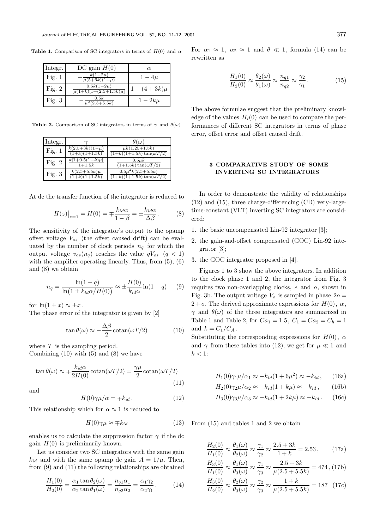**Table 1.** Comparison of SC integrators in terms of  $H(0)$  and  $\alpha$ 

| Integr.  | DC gain $H(0)$                                | $\alpha$     |
|----------|-----------------------------------------------|--------------|
| Fig. $1$ | $k(1-2\mu)$<br>$\mu(5+6k)(1+\mu)$             | $1-4\mu$     |
| Fig. $2$ | $0.5k(1-2\mu)$<br>$\mu(1+k)[1+(2.5+1.5k)\mu]$ | $-(4+3k)\mu$ |
| Fig. $3$ | 0.5k<br>$\mu^2(2.5+5.5k)$                     | $1-2k\mu$    |

**Table 2.** Comparison of SC integrators in terms of  $\gamma$  and  $\theta(\omega)$ 

| Integr.  |                                                  | $\theta(\omega)$                                          |
|----------|--------------------------------------------------|-----------------------------------------------------------|
| Fig. $1$ | $k(2.5+3k)(1-\mu)$<br>$\overline{(1+k)(1+1.5k)}$ | $\mu k(1.25+1.5k)$<br>$(1+k)(1+1.5k)\tan(\omega T/2)$     |
| Fig. $2$ | $k[1+0.5(1-k)\mu]$<br>$1+1.5k$                   | $0.5\mu k$<br>$(1+1.5k)\tan(\omega T/2)$                  |
| Fig. $3$ | $k(2.5+5.5k)\mu$<br>$(1+k)(1+1.5k)$              | $0.5\mu^2 k(2.5+5.5k)$<br>$(1+k)(1+1.5k)\tan(\omega T/2)$ |

At dc the transfer function of the integrator is reduced to

$$
H(z)|_{z=1} = H(0) = \pm \frac{k_{id}\alpha}{1-\beta} = \pm \frac{k_{id}\alpha}{\Delta\beta}.
$$
 (8)

The sensitivity of the integrator's output to the opamp offset voltage  $V_{os}$  (the offset caused drift) can be evaluated by the number of clock periods  $n_q$  for which the output voltage  $v_{os}(n_q)$  reaches the value  $qV_{os}$   $(q < 1)$ with the amplifier operating linearly. Thus, from  $(5)$ ,  $(6)$ and (8) we obtain

$$
n_q = \frac{\ln(1-q)}{\ln(1 \pm k_{id}\alpha/H(0))} \approx \pm \frac{H(0)}{k_{id}\alpha} \ln(1-q) \quad (9)
$$

for  $\ln(1 \pm x) \approx \pm x$ .

The phase error of the integrator is given by [2]

$$
\tan \theta(\omega) \approx -\frac{\Delta\beta}{2} \operatorname{cotan}(\omega T/2) \tag{10}
$$

where  $T$  is the sampling period. Combining  $(10)$  with  $(5)$  and  $(8)$  we have

$$
\tan \theta(\omega) \approx \mp \frac{k_{id}\alpha}{2H(0)} \operatorname{cotan}(\omega T/2) = \frac{\gamma \mu}{2} \operatorname{cotan}(\omega T/2)
$$
\n(11)

and

$$
H(0)\gamma\mu/\alpha = \mp k_{id}.
$$
 (12)

This relationship which for  $\alpha \approx 1$  is reduced to

$$
H(0)\gamma\mu \approx \mp k_{id} \tag{13}
$$

enables us to calculate the suppression factor  $\gamma$  if the dc gain  $H(0)$  is preliminarily known.

Let us consider two SC integrators with the same gain  $k_{id}$  and with the same opamp dc gain  $A = 1/\mu$ . Then, from (9) and (11) the following relationships are obtained

$$
\frac{H_1(0)}{H_2(0)} = \frac{\alpha_1 \tan \theta_2(\omega)}{\alpha_2 \tan \theta_1(\omega)} = \frac{n_{q1}\alpha_1}{n_{q2}\alpha_2} = \frac{\alpha_1\gamma_2}{\alpha_2\gamma_1}.
$$
 (14)

For  $\alpha_1 \approx 1$ ,  $\alpha_2 \approx 1$  and  $\theta \ll 1$ , formula (14) can be rewritten as

$$
\frac{H_1(0)}{H_2(0)} \approx \frac{\theta_2(\omega)}{\theta_1(\omega)} \approx \frac{n_{q1}}{n_{q2}} \approx \frac{\gamma_2}{\gamma_1}.
$$
 (15)

The above formulae suggest that the preliminary knowledge of the values  $H_i(0)$  can be used to compare the performances of different SC integrators in terms of phase error, offset error and offset caused drift.

# 3 COMPARATIVE STUDY OF SOME INVERTING SC INTEGRATORS

In order to demonstrate the validity of relationships (12) and (15), three charge-differencing (CD) very-largetime-constant (VLT) inverting SC integrators are considered:

- 1. the basic uncompensated Lin-92 integrator [3];
- 2. the gain-and-offset compensated (GOC) Lin-92 integrator [3];
- 3. the GOC integrator proposed in [4].

Figures 1 to 3 show the above integrators. In addition to the clock phase 1 and 2, the integrator from Fig. 3 requires two non-overlapping clocks, e and o, shown in Fig. 3b. The output voltage  $V<sub>o</sub>$  is sampled in phase  $2o =$  $2 + o$ . The derived approximate expressions for  $H(0), \alpha$ ,  $\gamma$  and  $\theta(\omega)$  of the three integrators are summarized in Table 1 and Table 2, for  $Ca_1 = 1.5$ ,  $C_1 = Ca_2 = C_h = 1$ and  $k = C_1/C_A$ .

Substituting the corresponding expressions for  $H(0)$ ,  $\alpha$ and  $\gamma$  from these tables into (12), we get for  $\mu \ll 1$  and  $k < 1$ :

$$
H_1(0)\gamma_1\mu/\alpha_1 \approx -k_{id}(1+6\mu^2) \approx -k_{id},\qquad(16a)
$$

$$
H_2(0)\gamma_2\mu/\alpha_2 \approx -k_{id}(1+k\mu) \approx -k_{id},\qquad(16b)
$$

$$
H_3(0)\gamma_3\mu/\alpha_3 \approx -k_{id}(1+2k\mu) \approx -k_{id}. \qquad (16c)
$$

From (15) and tables 1 and 2 we obtain

$$
\frac{H_2(0)}{H_1(0)} \approx \frac{\theta_1(\omega)}{\theta_2(\omega)} \approx \frac{\gamma_1}{\gamma_2} \approx \frac{2.5 + 3k}{1 + k} = 2.53, \quad (17a)
$$

$$
\frac{H_3(0)}{H_1(0)} \approx \frac{\theta_1(\omega)}{\theta_3(\omega)} \approx \frac{\gamma_1}{\gamma_3} \approx \frac{2.5 + 3k}{\mu(2.5 + 5.5k)} = 474, (17b)
$$

$$
\frac{H_3(0)}{H_2(0)} \approx \frac{\theta_2(\omega)}{\theta_3(\omega)} \approx \frac{\gamma_2}{\gamma_3} \approx \frac{1+k}{\mu(2.5+5.5k)} = 187 \quad (17c)
$$